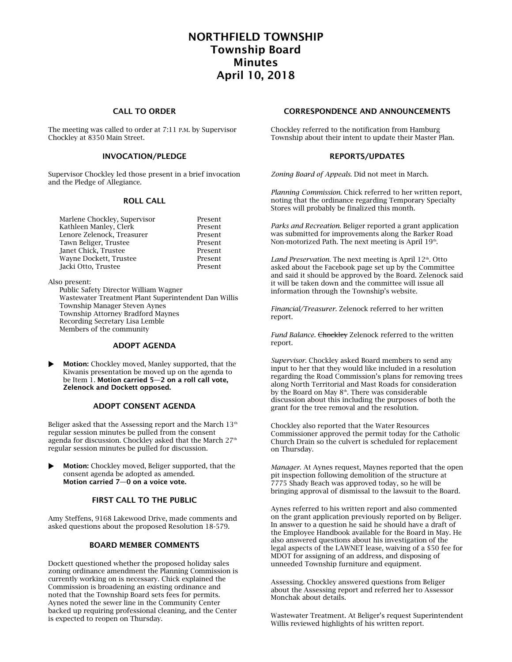# NORTHFIELD TOWNSHIP Township Board Minutes April 10, 2018

# CALL TO ORDER

The meeting was called to order at 7:11 P.M. by Supervisor Chockley at 8350 Main Street.

## INVOCATION/PLEDGE

Supervisor Chockley led those present in a brief invocation and the Pledge of Allegiance.

#### ROLL CALL

| Marlene Chockley, Supervisor | Present |
|------------------------------|---------|
| Kathleen Manley, Clerk       | Present |
| Lenore Zelenock. Treasurer   | Present |
| Tawn Beliger, Trustee        | Present |
| Janet Chick, Trustee         | Present |
| Wayne Dockett, Trustee       | Present |
| Jacki Otto, Trustee          | Present |
|                              |         |

Also present:

Public Safety Director William Wagner Wastewater Treatment Plant Superintendent Dan Willis Township Manager Steven Aynes Township Attorney Bradford Maynes Recording Secretary Lisa Lemble Members of the community

#### ADOPT AGENDA

 Motion: Chockley moved, Manley supported, that the Kiwanis presentation be moved up on the agenda to be Item  $1.$  Motion carried 5-2 on a roll call vote, Zelenock and Dockett opposed.

#### ADOPT CONSENT AGENDA

Beliger asked that the Assessing report and the March  $13<sup>th</sup>$ regular session minutes be pulled from the consent agenda for discussion. Chockley asked that the March 27<sup>th</sup> regular session minutes be pulled for discussion.

 Motion: Chockley moved, Beliger supported, that the consent agenda be adopted as amended. Motion carried 7—0 on a voice vote.

# FIRST CALL TO THE PUBLIC

Amy Steffens, 9168 Lakewood Drive, made comments and asked questions about the proposed Resolution 18-579.

#### BOARD MEMBER COMMENTS

Dockett questioned whether the proposed holiday sales zoning ordinance amendment the Planning Commission is currently working on is necessary. Chick explained the Commission is broadening an existing ordinance and noted that the Township Board sets fees for permits. Aynes noted the sewer line in the Community Center backed up requiring professional cleaning, and the Center is expected to reopen on Thursday.

#### CORRESPONDENCE AND ANNOUNCEMENTS

Chockley referred to the notification from Hamburg Township about their intent to update their Master Plan.

#### REPORTS/UPDATES

*Zoning Board of Appeals*. Did not meet in March.

*Planning Commission*. Chick referred to her written report, noting that the ordinance regarding Temporary Specialty Stores will probably be finalized this month.

*Parks and Recreation*. Beliger reported a grant application was submitted for improvements along the Barker Road Non-motorized Path. The next meeting is April 19th.

Land Preservation. The next meeting is April 12<sup>th</sup>. Otto asked about the Facebook page set up by the Committee and said it should be approved by the Board. Zelenock said it will be taken down and the committee will issue all information through the Township's website.

*Financial/Treasurer.* Zelenock referred to her written report.

Fund Balance. Chockley Zelenock referred to the written report.

*Supervisor*. Chockley asked Board members to send any input to her that they would like included in a resolution regarding the Road Commission's plans for removing trees along North Territorial and Mast Roads for consideration by the Board on May 8<sup>th</sup>. There was considerable discussion about this including the purposes of both the grant for the tree removal and the resolution.

Chockley also reported that the Water Resources Commissioner approved the permit today for the Catholic Church Drain so the culvert is scheduled for replacement on Thursday.

*Manager*. At Aynes request, Maynes reported that the open pit inspection following demolition of the structure at 7775 Shady Beach was approved today, so he will be bringing approval of dismissal to the lawsuit to the Board.

Aynes referred to his written report and also commented on the grant application previously reported on by Beliger. In answer to a question he said he should have a draft of the Employee Handbook available for the Board in May. He also answered questions about his investigation of the legal aspects of the LAWNET lease, waiving of a \$50 fee for MDOT for assigning of an address, and disposing of unneeded Township furniture and equipment.

Assessing. Chockley answered questions from Beliger about the Assessing report and referred her to Assessor Monchak about details.

Wastewater Treatment. At Beliger's request Superintendent Willis reviewed highlights of his written report.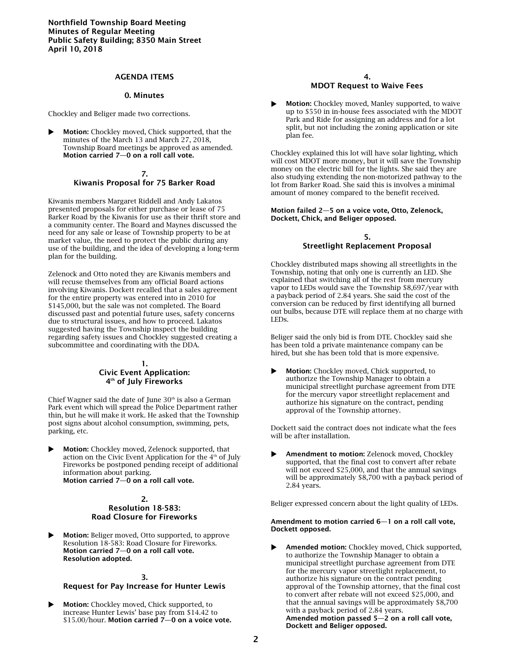## AGENDA ITEMS

## 0. Minutes

Chockley and Beliger made two corrections.

 Motion: Chockley moved, Chick supported, that the minutes of the March 13 and March 27, 2018, Township Board meetings be approved as amended. Motion carried 7—0 on a roll call vote.

#### 7. Kiwanis Proposal for 75 Barker Road

Kiwanis members Margaret Riddell and Andy Lakatos presented proposals for either purchase or lease of 75 Barker Road by the Kiwanis for use as their thrift store and a community center. The Board and Maynes discussed the need for any sale or lease of Township property to be at market value, the need to protect the public during any use of the building, and the idea of developing a long-term plan for the building.

Zelenock and Otto noted they are Kiwanis members and will recuse themselves from any official Board actions involving Kiwanis. Dockett recalled that a sales agreement for the entire property was entered into in 2010 for \$145,000, but the sale was not completed. The Board discussed past and potential future uses, safety concerns due to structural issues, and how to proceed. Lakatos suggested having the Township inspect the building regarding safety issues and Chockley suggested creating a subcommittee and coordinating with the DDA.

#### 1. Civic Event Application: 4 th of July Fireworks

Chief Wagner said the date of June  $30<sup>th</sup>$  is also a German Park event which will spread the Police Department rather thin, but he will make it work. He asked that the Township post signs about alcohol consumption, swimming, pets, parking, etc.

 Motion: Chockley moved, Zelenock supported, that action on the Civic Event Application for the  $4<sup>th</sup>$  of July Fireworks be postponed pending receipt of additional information about parking. Motion carried 7—0 on a roll call vote.

#### 2. Resolution 18-583: Road Closure for Fireworks

 Motion: Beliger moved, Otto supported, to approve Resolution 18-583: Road Closure for Fireworks. Motion carried 7—0 on a roll call vote. Resolution adopted.

## 3.

## Request for Pay Increase for Hunter Lewis

**Motion:** Chockley moved, Chick supported, to increase Hunter Lewis' base pay from \$14.42 to \$15.00/hour. Motion carried 7—0 on a voice vote.

#### 4. MDOT Request to Waive Fees

 Motion: Chockley moved, Manley supported, to waive up to \$550 in in-house fees associated with the MDOT Park and Ride for assigning an address and for a lot split, but not including the zoning application or site plan fee.

Chockley explained this lot will have solar lighting, which will cost MDOT more money, but it will save the Township money on the electric bill for the lights. She said they are also studying extending the non-motorized pathway to the lot from Barker Road. She said this is involves a minimal amount of money compared to the benefit received.

#### Motion failed 2—5 on a voice vote, Otto, Zelenock, Dockett, Chick, and Beliger opposed.

## 5. Streetlight Replacement Proposal

Chockley distributed maps showing all streetlights in the Township, noting that only one is currently an LED. She explained that switching all of the rest from mercury vapor to LEDs would save the Township \$8,697/year with a payback period of 2.84 years. She said the cost of the conversion can be reduced by first identifying all burned out bulbs, because DTE will replace them at no charge with LEDs.

Beliger said the only bid is from DTE. Chockley said she has been told a private maintenance company can be hired, but she has been told that is more expensive.

 Motion: Chockley moved, Chick supported, to authorize the Township Manager to obtain a municipal streetlight purchase agreement from DTE for the mercury vapor streetlight replacement and authorize his signature on the contract, pending approval of the Township attorney.

Dockett said the contract does not indicate what the fees will be after installation.

▶ Amendment to motion: Zelenock moved, Chockley supported, that the final cost to convert after rebate will not exceed \$25,000, and that the annual savings will be approximately \$8,700 with a payback period of 2.84 years.

Beliger expressed concern about the light quality of LEDs.

#### Amendment to motion carried 6—1 on a roll call vote, Dockett opposed.

 Amended motion: Chockley moved, Chick supported, to authorize the Township Manager to obtain a municipal streetlight purchase agreement from DTE for the mercury vapor streetlight replacement, to authorize his signature on the contract pending approval of the Township attorney, that the final cost to convert after rebate will not exceed \$25,000, and that the annual savings will be approximately \$8,700 with a payback period of 2.84 years. Amended motion passed 5—2 on a roll call vote, Dockett and Beliger opposed.